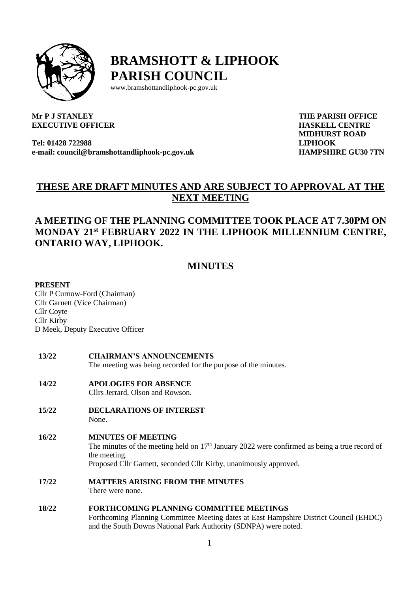

**BRAMSHOTT & LIPHOOK PARISH COUNCIL**

www.bramshottandliphook-pc.gov.uk

### **Mr P J STANLEY EXECUTIVE OFFICER**

**Tel: 01428 722988 e-mail: council@bramshottandliphook-pc.gov.uk** **THE PARISH OFFICE HASKELL CENTRE MIDHURST ROAD LIPHOOK HAMPSHIRE GU30 7TN**

# **THESE ARE DRAFT MINUTES AND ARE SUBJECT TO APPROVAL AT THE NEXT MEETING**

# **A MEETING OF THE PLANNING COMMITTEE TOOK PLACE AT 7.30PM ON MONDAY 21st FEBRUARY 2022 IN THE LIPHOOK MILLENNIUM CENTRE, ONTARIO WAY, LIPHOOK.**

# **MINUTES**

#### **PRESENT**

Cllr P Curnow-Ford (Chairman) Cllr Garnett (Vice Chairman) Cllr Coyte Cllr Kirby D Meek, Deputy Executive Officer

- **13/22 CHAIRMAN'S ANNOUNCEMENTS** The meeting was being recorded for the purpose of the minutes.
- **14/22 APOLOGIES FOR ABSENCE** Cllrs Jerrard, Olson and Rowson.
- **15/22 DECLARATIONS OF INTEREST** None.
- **16/22 MINUTES OF MEETING** The minutes of the meeting held on  $17<sup>th</sup>$  January 2022 were confirmed as being a true record of the meeting. Proposed Cllr Garnett, seconded Cllr Kirby, unanimously approved.
- **17/22 MATTERS ARISING FROM THE MINUTES** There were none.
- **18/22 FORTHCOMING PLANNING COMMITTEE MEETINGS** Forthcoming Planning Committee Meeting dates at East Hampshire District Council (EHDC) and the South Downs National Park Authority (SDNPA) were noted.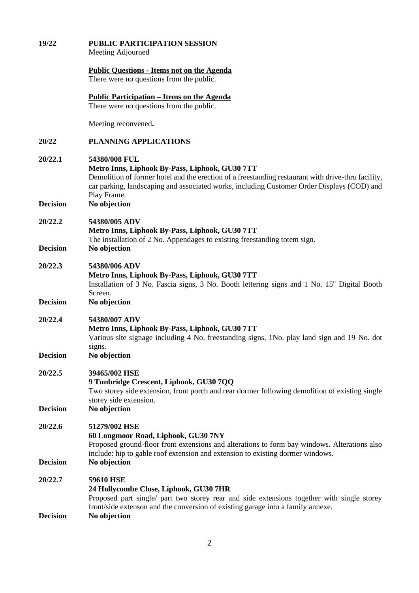| 19/22                      | <b>PUBLIC PARTICIPATION SESSION</b><br>Meeting Adjourned                                                                                                                                                                                                                           |
|----------------------------|------------------------------------------------------------------------------------------------------------------------------------------------------------------------------------------------------------------------------------------------------------------------------------|
|                            | <b>Public Questions - Items not on the Agenda</b><br>There were no questions from the public.                                                                                                                                                                                      |
|                            | <u> Public Participation – Items on the Agenda</u><br>There were no questions from the public.                                                                                                                                                                                     |
|                            | Meeting reconvened.                                                                                                                                                                                                                                                                |
| 20/22                      | <b>PLANNING APPLICATIONS</b>                                                                                                                                                                                                                                                       |
| 20/22.1                    | 54380/008 FUL<br>Metro Inns, Liphook By-Pass, Liphook, GU30 7TT<br>Demolition of former hotel and the erection of a freestanding restaurant with drive-thru facility,<br>car parking, landscaping and associated works, including Customer Order Displays (COD) and<br>Play Frame. |
| <b>Decision</b>            | No objection                                                                                                                                                                                                                                                                       |
| 20/22.2                    | 54380/005 ADV<br>Metro Inns, Liphook By-Pass, Liphook, GU30 7TT<br>The installation of 2 No. Appendages to existing freestanding totem sign.                                                                                                                                       |
| <b>Decision</b>            | No objection                                                                                                                                                                                                                                                                       |
| 20/22.3                    | 54380/006 ADV<br>Metro Inns, Liphook By-Pass, Liphook, GU30 7TT<br>Installation of 3 No. Fascia signs, 3 No. Booth lettering signs and 1 No. 15" Digital Booth<br>Screen.                                                                                                          |
| <b>Decision</b>            | No objection                                                                                                                                                                                                                                                                       |
| 20/22.4                    | 54380/007 ADV<br>Metro Inns, Liphook By-Pass, Liphook, GU30 7TT<br>Various site signage including 4 No. freestanding signs, 1No. play land sign and 19 No. dot<br>signs.                                                                                                           |
| <b>Decision</b>            | No objection                                                                                                                                                                                                                                                                       |
| 20/22.5                    | 39465/002 HSE<br>9 Tunbridge Crescent, Liphook, GU30 7QQ<br>Two storey side extension, front porch and rear dormer following demolition of existing single<br>storey side extension.                                                                                               |
| <b>Decision</b>            | No objection                                                                                                                                                                                                                                                                       |
| 20/22.6<br><b>Decision</b> | 51279/002 HSE<br>60 Longmoor Road, Liphook, GU30 7NY<br>Proposed ground-floor front extensions and alterations to form bay windows. Alterations also<br>include: hip to gable roof extension and extension to existing dormer windows.<br>No objection                             |
|                            |                                                                                                                                                                                                                                                                                    |
| 20/22.7<br><b>Decision</b> | <b>59610 HSE</b><br>24 Hollycombe Close, Liphook, GU30 7HR<br>Proposed part single/ part two storey rear and side extensions together with single storey<br>front/side extenson and the conversion of existing garage into a family annexe.<br>No objection                        |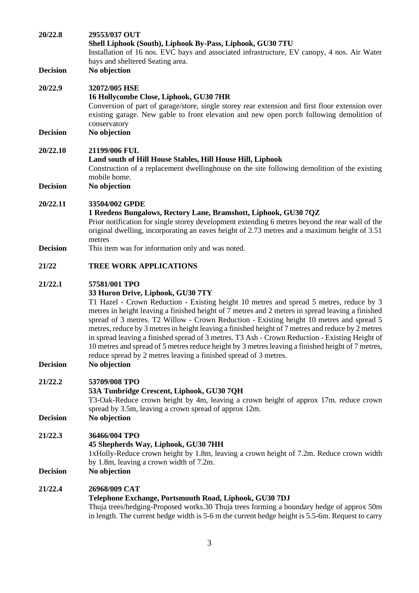| 20/22.8                    | 29553/037 OUT<br>Shell Liphook (South), Liphook By-Pass, Liphook, GU30 7TU<br>Installation of 16 nos. EVC bays and associated infrastructure, EV canopy, 4 nos. Air Water<br>bays and sheltered Seating area.                                                                                                                                                                                                                                                                                                                                                                                                                                                                                                                 |
|----------------------------|-------------------------------------------------------------------------------------------------------------------------------------------------------------------------------------------------------------------------------------------------------------------------------------------------------------------------------------------------------------------------------------------------------------------------------------------------------------------------------------------------------------------------------------------------------------------------------------------------------------------------------------------------------------------------------------------------------------------------------|
| <b>Decision</b>            | No objection                                                                                                                                                                                                                                                                                                                                                                                                                                                                                                                                                                                                                                                                                                                  |
| 20/22.9<br><b>Decision</b> | 32072/005 HSE<br>16 Hollycombe Close, Liphook, GU30 7HR<br>Conversion of part of garage/store, single storey rear extension and first floor extension over<br>existing garage. New gable to front elevation and new open porch following demolition of<br>conservatory<br>No objection                                                                                                                                                                                                                                                                                                                                                                                                                                        |
|                            |                                                                                                                                                                                                                                                                                                                                                                                                                                                                                                                                                                                                                                                                                                                               |
| 20/22.10                   | 21199/006 FUL<br>Land south of Hill House Stables, Hill House Hill, Liphook<br>Construction of a replacement dwellinghouse on the site following demolition of the existing<br>mobile home.                                                                                                                                                                                                                                                                                                                                                                                                                                                                                                                                   |
| <b>Decision</b>            | No objection                                                                                                                                                                                                                                                                                                                                                                                                                                                                                                                                                                                                                                                                                                                  |
| 20/22.11                   | 33504/002 GPDE<br>1 Reedens Bungalows, Rectory Lane, Bramshott, Liphook, GU30 7QZ<br>Prior notification for single storey development extending 6 metres beyond the rear wall of the<br>original dwelling, incorporating an eaves height of 2.73 metres and a maximum height of 3.51<br>metres                                                                                                                                                                                                                                                                                                                                                                                                                                |
| <b>Decision</b>            | This item was for information only and was noted.                                                                                                                                                                                                                                                                                                                                                                                                                                                                                                                                                                                                                                                                             |
| 21/22                      | <b>TREE WORK APPLICATIONS</b>                                                                                                                                                                                                                                                                                                                                                                                                                                                                                                                                                                                                                                                                                                 |
| 21/22.1                    | 57581/001 TPO<br>33 Huron Drive, Liphook, GU30 7TY<br>T1 Hazel - Crown Reduction - Existing height 10 metres and spread 5 metres, reduce by 3<br>metres in height leaving a finished height of 7 metres and 2 metres in spread leaving a finished<br>spread of 3 metres. T2 Willow - Crown Reduction - Existing height 10 metres and spread 5<br>metres, reduce by 3 metres in height leaving a finished height of 7 metres and reduce by 2 metres<br>in spread leaving a finished spread of 3 metres. T3 Ash - Crown Reduction - Existing Height of<br>10 metres and spread of 5 metres reduce height by 3 metres leaving a finished height of 7 metres,<br>reduce spread by 2 metres leaving a finished spread of 3 metres. |
| <b>Decision</b>            | No objection                                                                                                                                                                                                                                                                                                                                                                                                                                                                                                                                                                                                                                                                                                                  |
| 21/22.2                    | 53709/008 TPO<br>53A Tunbridge Crescent, Liphook, GU30 7QH<br>T3-Oak-Reduce crown height by 4m, leaving a crown height of approx 17m. reduce crown<br>spread by 3.5m, leaving a crown spread of approx 12m.                                                                                                                                                                                                                                                                                                                                                                                                                                                                                                                   |
| <b>Decision</b>            | No objection                                                                                                                                                                                                                                                                                                                                                                                                                                                                                                                                                                                                                                                                                                                  |
| 21/22.3<br><b>Decision</b> | 36466/004 TPO<br>45 Shepherds Way, Liphook, GU30 7HH<br>1xHolly-Reduce crown height by 1.8m, leaving a crown height of 7.2m. Reduce crown width<br>by 1.8m, leaving a crown width of 7.2m.<br>No objection                                                                                                                                                                                                                                                                                                                                                                                                                                                                                                                    |
| 21/22.4                    | 26968/009 CAT                                                                                                                                                                                                                                                                                                                                                                                                                                                                                                                                                                                                                                                                                                                 |
|                            | Telephone Exchange, Portsmouth Road, Liphook, GU30 7DJ<br>Thuja trees/hedging-Proposed works.30 Thuja trees forming a boundary hedge of approx 50m<br>in length. The current hedge width is 5-6 m the current hedge height is 5.5-6m. Request to carry                                                                                                                                                                                                                                                                                                                                                                                                                                                                        |